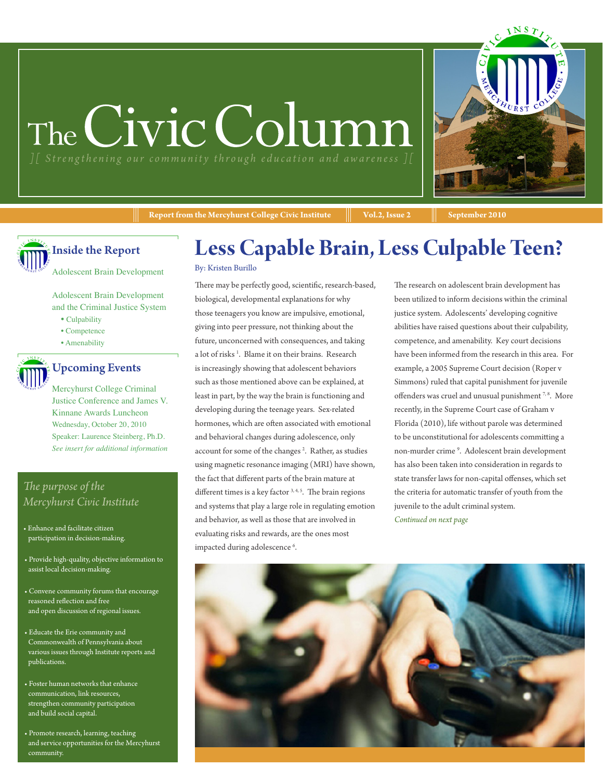# The Civic Column



**Report from the Mercyhurst College Civic Institute**  $\|\cdot\|$  **Vol.2, Issue 2**  $\|\cdot\|$  September 2010

Inside the Report

Adolescent Brain Development

Adolescent Brain Development and the Criminal Justice System

- Culpability
- Competence
- Amenability



### Upcoming Events

Mercyhurst College Criminal Justice Conference and James V. Kinnane Awards Luncheon Wednesday, October 20, 2010 Speaker: Laurence Steinberg, Ph.D. *See insert for additional information*

#### *The purpose of the Mercyhurst Civic Institute*

- Enhance and facilitate citizen participation in decision-making.
- Provide high-quality, objective information to assist local decision-making.
- Convene community forums that encourage reasoned reflection and free and open discussion of regional issues.
- Educate the Erie community and Commonwealth of Pennsylvania about various issues through Institute reports and publications.
- Foster human networks that enhance communication, link resources, strengthen community participation and build social capital.
- Promote research, learning, teaching and service opportunities for the Mercyhurst community.

### **Less Capable Brain, Less Culpable Teen?**

#### By: Kristen Burillo

There may be perfectly good, scientific, research-based, biological, developmental explanations for why those teenagers you know are impulsive, emotional, giving into peer pressure, not thinking about the future, unconcerned with consequences, and taking a lot of risks<sup>1</sup>. Blame it on their brains. Research is increasingly showing that adolescent behaviors such as those mentioned above can be explained, at least in part, by the way the brain is functioning and developing during the teenage years. Sex-related hormones, which are often associated with emotional and behavioral changes during adolescence, only account for some of the changes<sup>2</sup>. Rather, as studies using magnetic resonance imaging (MRI) have shown, the fact that different parts of the brain mature at different times is a key factor 3, 4, 5. The brain regions and systems that play a large role in regulating emotion and behavior, as well as those that are involved in evaluating risks and rewards, are the ones most impacted during adolescence <sup>6</sup> .

The research on adolescent brain development has been utilized to inform decisions within the criminal justice system. Adolescents' developing cognitive abilities have raised questions about their culpability, competence, and amenability. Key court decisions have been informed from the research in this area. For example, a 2005 Supreme Court decision (Roper v Simmons) ruled that capital punishment for juvenile offenders was cruel and unusual punishment  $^{7,8}$ . More recently, in the Supreme Court case of Graham v Florida (2010), life without parole was determined to be unconstitutional for adolescents committing a non-murder crime <sup>9</sup> . Adolescent brain development has also been taken into consideration in regards to state transfer laws for non-capital offenses, which set the criteria for automatic transfer of youth from the juvenile to the adult criminal system. *Continued on next page*

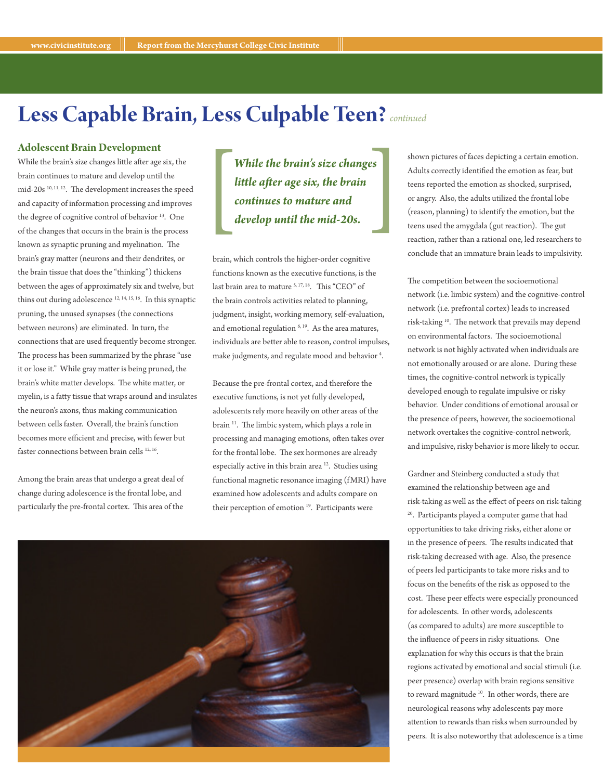### **Less Capable Brain, Less Culpable Teen?***continued*

#### **Adolescent Brain Development**

While the brain's size changes little after age six, the brain continues to mature and develop until the mid-20s 10, 11, 12. The development increases the speed and capacity of information processing and improves the degree of cognitive control of behavior<sup>13</sup>. One of the changes that occurs in the brain is the process known as synaptic pruning and myelination. The brain's gray matter (neurons and their dendrites, or the brain tissue that does the "thinking") thickens between the ages of approximately six and twelve, but thins out during adolescence 12, 14, 15, 16. In this synaptic pruning, the unused synapses (the connections between neurons) are eliminated. In turn, the connections that are used frequently become stronger. The process has been summarized by the phrase "use it or lose it." While gray matter is being pruned, the brain's white matter develops. The white matter, or myelin, is a fatty tissue that wraps around and insulates the neuron's axons, thus making communication between cells faster. Overall, the brain's function becomes more efficient and precise, with fewer but faster connections between brain cells <sup>12, 16</sup>.

Among the brain areas that undergo a great deal of change during adolescence is the frontal lobe, and particularly the pre-frontal cortex. This area of the

 $\begin{bmatrix} 1 \\ 1 \\ 2 \\ 3 \end{bmatrix}$ *While the brain's size changes little after age six, the brain continues to mature and* 

brain, which controls the higher-order cognitive functions known as the executive functions, is the last brain area to mature <sup>5, 17, 18</sup>. This "CEO" of the brain controls activities related to planning, judgment, insight, working memory, self-evaluation, and emotional regulation  $6, 19$ . As the area matures, individuals are better able to reason, control impulses, make judgments, and regulate mood and behavior<sup>4</sup>.

Because the pre-frontal cortex, and therefore the executive functions, is not yet fully developed, adolescents rely more heavily on other areas of the brain <sup>11</sup>. The limbic system, which plays a role in processing and managing emotions, often takes over for the frontal lobe. The sex hormones are already especially active in this brain area<sup>12</sup>. Studies using functional magnetic resonance imaging (fMRI) have examined how adolescents and adults compare on their perception of emotion<sup>19</sup>. Participants were

**While the brain's size changes** shown pictures of faces depicting a certain emotion.<br> **dittle after age six, the brain** teens reported the emotion as shocked, surprised,<br> **continues to mature and** or angry. Also, the adul Adults correctly identified the emotion as fear, but teens reported the emotion as shocked, surprised, or angry. Also, the adults utilized the frontal lobe (reason, planning) to identify the emotion, but the teens used the amygdala (gut reaction). The gut reaction, rather than a rational one, led researchers to conclude that an immature brain leads to impulsivity.

> The competition between the socioemotional network (i.e. limbic system) and the cognitive-control network (i.e. prefrontal cortex) leads to increased risk-taking 10. The network that prevails may depend on environmental factors. The socioemotional network is not highly activated when individuals are not emotionally aroused or are alone. During these times, the cognitive-control network is typically developed enough to regulate impulsive or risky behavior. Under conditions of emotional arousal or the presence of peers, however, the socioemotional network overtakes the cognitive-control network, and impulsive, risky behavior is more likely to occur.

> Gardner and Steinberg conducted a study that examined the relationship between age and risk-taking as well as the effect of peers on risk-taking 20. Participants played a computer game that had opportunities to take driving risks, either alone or in the presence of peers. The results indicated that risk-taking decreased with age. Also, the presence of peers led participants to take more risks and to focus on the benefits of the risk as opposed to the cost. These peer effects were especially pronounced for adolescents. In other words, adolescents (as compared to adults) are more susceptible to the influence of peers in risky situations. One explanation for why this occurs is that the brain regions activated by emotional and social stimuli (i.e. peer presence) overlap with brain regions sensitive to reward magnitude <sup>10</sup>. In other words, there are neurological reasons why adolescents pay more attention to rewards than risks when surrounded by peers. It is also noteworthy that adolescence is a time

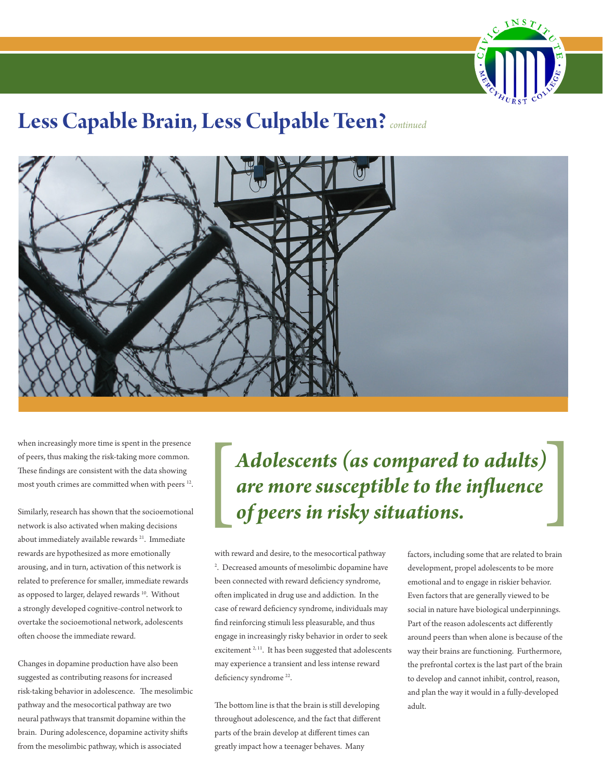

### **Less Capable Brain, Less Culpable Teen?***continued*



when increasingly more time is spent in the presence of peers, thus making the risk-taking more common. These findings are consistent with the data showing most youth crimes are committed when with peers <sup>12</sup>.

Similarly, research has shown that the socioemotional network is also activated when making decisions about immediately available rewards<sup>21</sup>. Immediate rewards are hypothesized as more emotionally arousing, and in turn, activation of this network is related to preference for smaller, immediate rewards as opposed to larger, delayed rewards <sup>10</sup>. Without a strongly developed cognitive-control network to overtake the socioemotional network, adolescents often choose the immediate reward.

Changes in dopamine production have also been suggested as contributing reasons for increased risk-taking behavior in adolescence. The mesolimbic pathway and the mesocortical pathway are two neural pathways that transmit dopamine within the brain. During adolescence, dopamine activity shifts from the mesolimbic pathway, which is associated

## [ *Adolescents (as compared to adults)* [ *are more susceptible to the influence of peers in risky situations.*

with reward and desire, to the mesocortical pathway 2 . Decreased amounts of mesolimbic dopamine have been connected with reward deficiency syndrome, often implicated in drug use and addiction. In the case of reward deficiency syndrome, individuals may find reinforcing stimuli less pleasurable, and thus engage in increasingly risky behavior in order to seek excitement<sup>2, 11</sup>. It has been suggested that adolescents may experience a transient and less intense reward deficiency syndrome<sup>22</sup>.

The bottom line is that the brain is still developing throughout adolescence, and the fact that different parts of the brain develop at different times can greatly impact how a teenager behaves. Many

factors, including some that are related to brain development, propel adolescents to be more emotional and to engage in riskier behavior. Even factors that are generally viewed to be social in nature have biological underpinnings. Part of the reason adolescents act differently around peers than when alone is because of the way their brains are functioning. Furthermore, the prefrontal cortex is the last part of the brain to develop and cannot inhibit, control, reason, and plan the way it would in a fully-developed adult.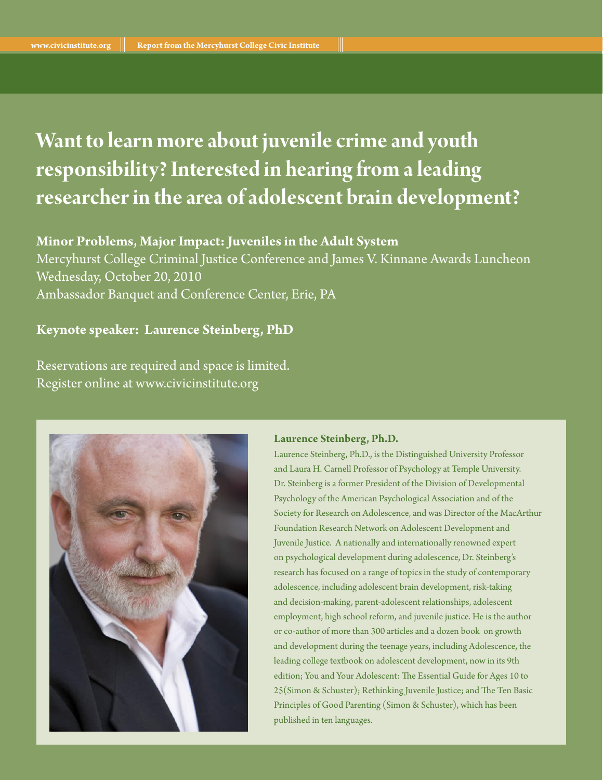### **Want to learn more about juvenile crime and youth responsibility? Interested in hearing from a leading researcher in the area of adolescent brain development?**

#### **Minor Problems, Major Impact: Juveniles in the Adult System**

Mercyhurst College Criminal Justice Conference and James V. Kinnane Awards Luncheon Wednesday, October 20, 2010 Ambassador Banquet and Conference Center, Erie, PA

#### **Keynote speaker: Laurence Steinberg, PhD**

Reservations are required and space is limited. Register online at www.civicinstitute.org



#### **Laurence Steinberg, Ph.D.**

Laurence Steinberg, Ph.D., is the Distinguished University Professor and Laura H. Carnell Professor of Psychology at Temple University. Dr. Steinberg is a former President of the Division of Developmental Psychology of the American Psychological Association and of the Society for Research on Adolescence, and was Director of the MacArthur Foundation Research Network on Adolescent Development and Juvenile Justice. A nationally and internationally renowned expert on psychological development during adolescence, Dr. Steinberg's research has focused on a range of topics in the study of contemporary adolescence, including adolescent brain development, risk-taking and decision-making, parent-adolescent relationships, adolescent employment, high school reform, and juvenile justice. He is the author or co-author of more than 300 articles and a dozen book on growth and development during the teenage years, including Adolescence, the leading college textbook on adolescent development, now in its 9th edition; You and Your Adolescent: The Essential Guide for Ages 10 to 25(Simon & Schuster); Rethinking Juvenile Justice; and The Ten Basic Principles of Good Parenting (Simon & Schuster), which has been published in ten languages.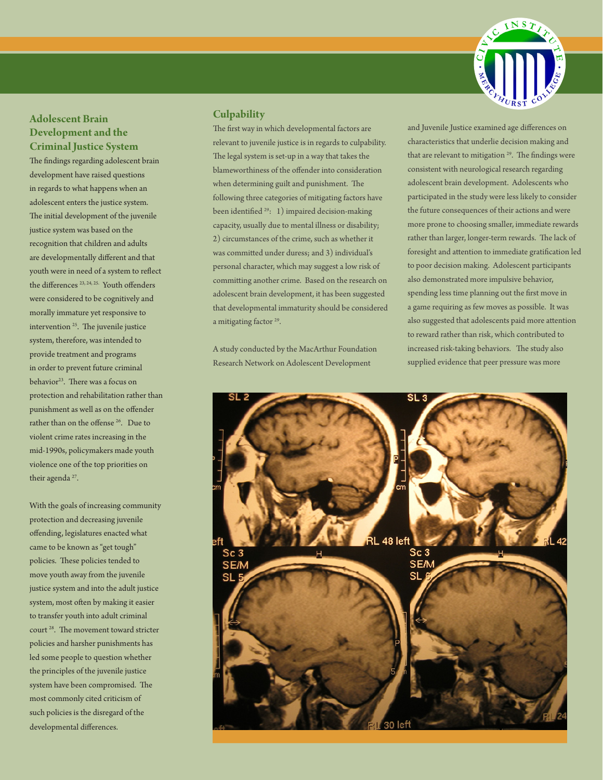

#### **Adolescent Brain Development and the Criminal Justice System**

The findings regarding adolescent brain development have raised questions in regards to what happens when an adolescent enters the justice system. The initial development of the juvenile justice system was based on the recognition that children and adults are developmentally different and that youth were in need of a system to reflect the differences<sup>23, 24, 25.</sup> Youth offenders were considered to be cognitively and morally immature yet responsive to intervention 25. The juvenile justice system, therefore, was intended to provide treatment and programs in order to prevent future criminal behavior<sup>23</sup>. There was a focus on protection and rehabilitation rather than punishment as well as on the offender rather than on the offense <sup>26</sup>. Due to violent crime rates increasing in the mid-1990s, policymakers made youth violence one of the top priorities on their agenda<sup>27</sup>.

With the goals of increasing community protection and decreasing juvenile offending, legislatures enacted what came to be known as "get tough" policies. These policies tended to move youth away from the juvenile justice system and into the adult justice system, most often by making it easier to transfer youth into adult criminal court 28. The movement toward stricter policies and harsher punishments has led some people to question whether the principles of the juvenile justice system have been compromised. The most commonly cited criticism of such policies is the disregard of the developmental differences.

#### **Culpability**

The first way in which developmental factors are relevant to juvenile justice is in regards to culpability. The legal system is set-up in a way that takes the blameworthiness of the offender into consideration when determining guilt and punishment. The following three categories of mitigating factors have been identified <sup>29</sup>: 1) impaired decision-making capacity, usually due to mental illness or disability; 2) circumstances of the crime, such as whether it was committed under duress; and 3) individual's personal character, which may suggest a low risk of committing another crime. Based on the research on adolescent brain development, it has been suggested that developmental immaturity should be considered a mitigating factor<sup>29</sup>.

A study conducted by the MacArthur Foundation Research Network on Adolescent Development

and Juvenile Justice examined age differences on characteristics that underlie decision making and that are relevant to mitigation  $29$ . The findings were consistent with neurological research regarding adolescent brain development. Adolescents who participated in the study were less likely to consider the future consequences of their actions and were more prone to choosing smaller, immediate rewards rather than larger, longer-term rewards. The lack of foresight and attention to immediate gratification led to poor decision making. Adolescent participants also demonstrated more impulsive behavior, spending less time planning out the first move in a game requiring as few moves as possible. It was also suggested that adolescents paid more attention to reward rather than risk, which contributed to increased risk-taking behaviors. The study also supplied evidence that peer pressure was more

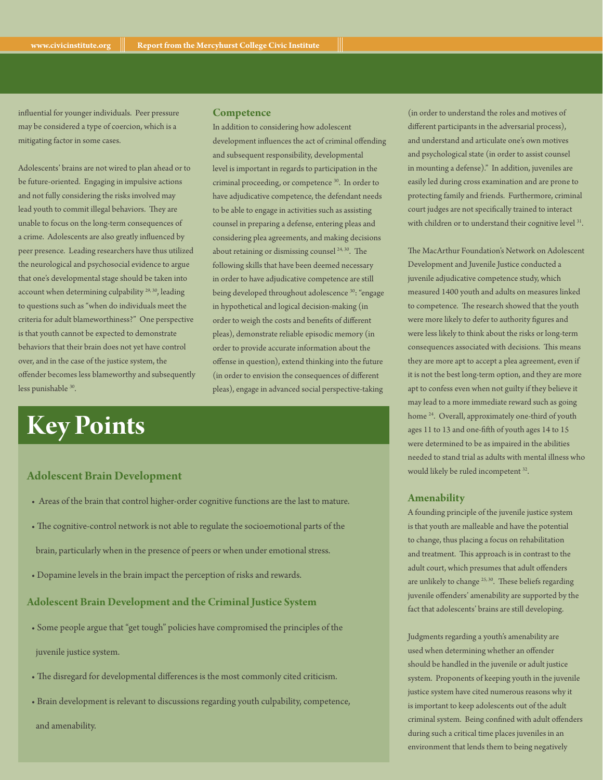influential for younger individuals. Peer pressure may be considered a type of coercion, which is a mitigating factor in some cases.

Adolescents' brains are not wired to plan ahead or to be future-oriented. Engaging in impulsive actions and not fully considering the risks involved may lead youth to commit illegal behaviors. They are unable to focus on the long-term consequences of a crime. Adolescents are also greatly influenced by peer presence. Leading researchers have thus utilized the neurological and psychosocial evidence to argue that one's developmental stage should be taken into account when determining culpability<sup>29, 30</sup>, leading to questions such as "when do individuals meet the criteria for adult blameworthiness?" One perspective is that youth cannot be expected to demonstrate behaviors that their brain does not yet have control over, and in the case of the justice system, the offender becomes less blameworthy and subsequently less punishable <sup>30</sup>.

#### **Competence**

In addition to considering how adolescent development influences the act of criminal offending and subsequent responsibility, developmental level is important in regards to participation in the criminal proceeding, or competence <sup>30</sup>. In order to have adjudicative competence, the defendant needs to be able to engage in activities such as assisting counsel in preparing a defense, entering pleas and considering plea agreements, and making decisions about retaining or dismissing counsel<sup>24, 30</sup>. The following skills that have been deemed necessary in order to have adjudicative competence are still being developed throughout adolescence 30: "engage in hypothetical and logical decision-making (in order to weigh the costs and benefits of different pleas), demonstrate reliable episodic memory (in order to provide accurate information about the offense in question), extend thinking into the future (in order to envision the consequences of different pleas), engage in advanced social perspective-taking

### **Key Points**

#### **Adolescent Brain Development**

- Areas of the brain that control higher-order cognitive functions are the last to mature.
- The cognitive-control network is not able to regulate the socioemotional parts of the brain, particularly when in the presence of peers or when under emotional stress.
- Dopamine levels in the brain impact the perception of risks and rewards.

#### **Adolescent Brain Development and the Criminal Justice System**

• Some people argue that "get tough" policies have compromised the principles of the

juvenile justice system.

- The disregard for developmental differences is the most commonly cited criticism.
- Brain development is relevant to discussions regarding youth culpability, competence,

and amenability.

(in order to understand the roles and motives of different participants in the adversarial process), and understand and articulate one's own motives and psychological state (in order to assist counsel in mounting a defense)." In addition, juveniles are easily led during cross examination and are prone to protecting family and friends. Furthermore, criminal court judges are not specifically trained to interact with children or to understand their cognitive level 31.

The MacArthur Foundation's Network on Adolescent Development and Juvenile Justice conducted a juvenile adjudicative competence study, which measured 1400 youth and adults on measures linked to competence. The research showed that the youth were more likely to defer to authority figures and were less likely to think about the risks or long-term consequences associated with decisions. This means they are more apt to accept a plea agreement, even if it is not the best long-term option, and they are more apt to confess even when not guilty if they believe it may lead to a more immediate reward such as going home <sup>24</sup>. Overall, approximately one-third of youth ages 11 to 13 and one-fifth of youth ages 14 to 15 were determined to be as impaired in the abilities needed to stand trial as adults with mental illness who would likely be ruled incompetent <sup>32</sup>.

#### **Amenability**

A founding principle of the juvenile justice system is that youth are malleable and have the potential to change, thus placing a focus on rehabilitation and treatment. This approach is in contrast to the adult court, which presumes that adult offenders are unlikely to change  $25, 30$ . These beliefs regarding juvenile offenders' amenability are supported by the fact that adolescents' brains are still developing.

Judgments regarding a youth's amenability are used when determining whether an offender should be handled in the juvenile or adult justice system. Proponents of keeping youth in the juvenile justice system have cited numerous reasons why it is important to keep adolescents out of the adult criminal system. Being confined with adult offenders during such a critical time places juveniles in an environment that lends them to being negatively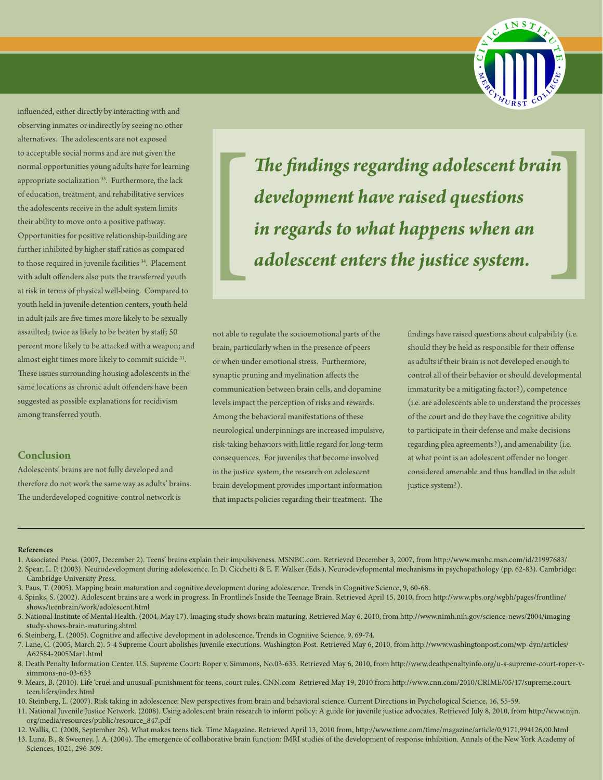

influenced, either directly by interacting with and observing inmates or indirectly by seeing no other alternatives. The adolescents are not exposed to acceptable social norms and are not given the normal opportunities young adults have for learning appropriate socialization <sup>33</sup>. Furthermore, the lack of education, treatment, and rehabilitative services the adolescents receive in the adult system limits their ability to move onto a positive pathway. Opportunities for positive relationship-building are further inhibited by higher staff ratios as compared to those required in juvenile facilities <sup>34</sup>. Placement with adult offenders also puts the transferred youth at risk in terms of physical well-being. Compared to youth held in juvenile detention centers, youth held in adult jails are five times more likely to be sexually assaulted; twice as likely to be beaten by staff; 50 percent more likely to be attacked with a weapon; and almost eight times more likely to commit suicide <sup>31</sup>. These issues surrounding housing adolescents in the same locations as chronic adult offenders have been suggested as possible explanations for recidivism among transferred youth.

#### **Conclusion**

Adolescents' brains are not fully developed and therefore do not work the same way as adults' brains. The underdeveloped cognitive-control network is

*The findings regarding adolescent brain development have raised questions Ihe findings regarding adolescent brain*<br>development have raised questions<br>in regards to what happens when an<br>adolescent enters the justice system.

not able to regulate the socioemotional parts of the brain, particularly when in the presence of peers or when under emotional stress. Furthermore, synaptic pruning and myelination affects the communication between brain cells, and dopamine levels impact the perception of risks and rewards. Among the behavioral manifestations of these neurological underpinnings are increased impulsive, risk-taking behaviors with little regard for long-term consequences. For juveniles that become involved in the justice system, the research on adolescent brain development provides important information that impacts policies regarding their treatment. The

findings have raised questions about culpability (i.e. should they be held as responsible for their offense as adults if their brain is not developed enough to control all of their behavior or should developmental immaturity be a mitigating factor?), competence (i.e. are adolescents able to understand the processes of the court and do they have the cognitive ability to participate in their defense and make decisions regarding plea agreements?), and amenability (i.e. at what point is an adolescent offender no longer considered amenable and thus handled in the adult justice system?).

#### **References**

- 1. Associated Press. (2007, December 2). Teens' brains explain their impulsiveness. MSNBC.com. Retrieved December 3, 2007, from http://www.msnbc.msn.com/id/21997683/
- 2. Spear, L. P. (2003). Neurodevelopment during adolescence. In D. Cicchetti & E. F. Walker (Eds.), Neurodevelopmental mechanisms in psychopathology (pp. 62-83). Cambridge: Cambridge University Press.
- 3. Paus, T. (2005). Mapping brain maturation and cognitive development during adolescence. Trends in Cognitive Science, 9, 60-68.
- 4. Spinks, S. (2002). Adolescent brains are a work in progress. In Frontline's Inside the Teenage Brain. Retrieved April 15, 2010, from http://www.pbs.org/wgbh/pages/frontline/ shows/teenbrain/work/adolescent.html
- 5. National Institute of Mental Health. (2004, May 17). Imaging study shows brain maturing. Retrieved May 6, 2010, from http://www.nimh.nih.gov/science-news/2004/imagingstudy-shows-brain-maturing.shtml
- 6. Steinberg, L. (2005). Cognitive and affective development in adolescence. Trends in Cognitive Science, 9, 69-74.
- 7. Lane, C. (2005, March 2). 5-4 Supreme Court abolishes juvenile executions. Washington Post. Retrieved May 6, 2010, from http://www.washingtonpost.com/wp-dyn/articles/ A62584-2005Mar1.html
- 8. Death Penalty Information Center. U.S. Supreme Court: Roper v. Simmons, No.03-633. Retrieved May 6, 2010, from http://www.deathpenaltyinfo.org/u-s-supreme-court-roper-vsimmons-no-03-633
- 9. Mears, B. (2010). Life 'cruel and unusual' punishment for teens, court rules. CNN.com Retrieved May 19, 2010 from http://www.cnn.com/2010/CRIME/05/17/supreme.court. teen.lifers/index.html
- 10. Steinberg, L. (2007). Risk taking in adolescence: New perspectives from brain and behavioral science. Current Directions in Psychological Science, 16, 55-59.
- 11. National Juvenile Justice Network. (2008). Using adolescent brain research to inform policy: A guide for juvenile justice advocates. Retrieved July 8, 2010, from http://www.njjn. org/media/resources/public/resource\_847.pdf
- 12. Wallis, C. (2008, September 26). What makes teens tick. Time Magazine. Retrieved April 13, 2010 from, http://www.time.com/time/magazine/article/0,9171,994126,00.html
- 13. Luna, B., & Sweeney, J. A. (2004). The emergence of collaborative brain function: fMRI studies of the development of response inhibition. Annals of the New York Academy of Sciences, 1021, 296-309.